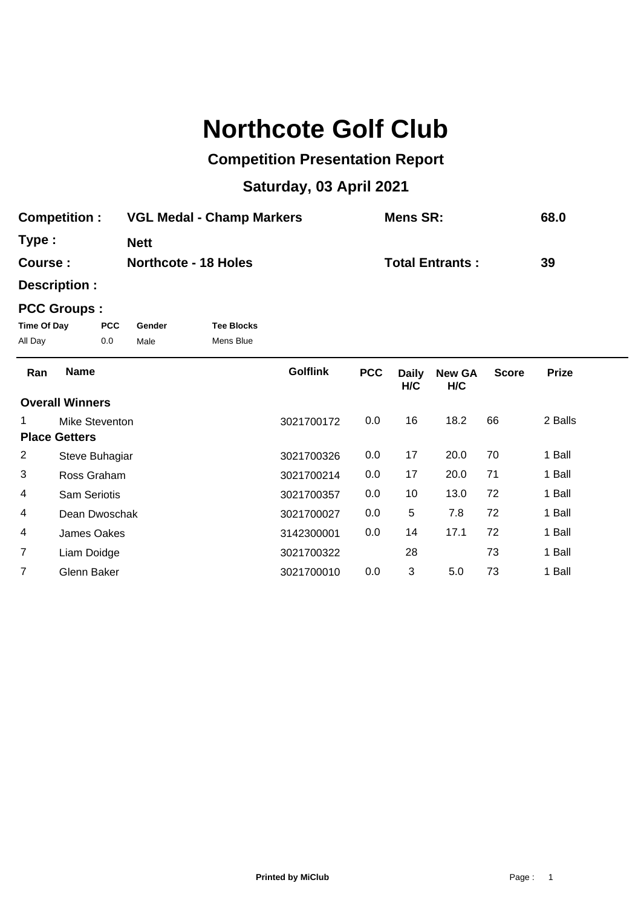## **Northcote Golf Club**

## **Competition Presentation Report**

## **Saturday, 03 April 2021**

| <b>Competition:</b> | <b>VGL Medal - Champ Markers</b> | Mens SR:               | 68.0 |
|---------------------|----------------------------------|------------------------|------|
| Type:               | <b>Nett</b>                      |                        |      |
| Course :            | <b>Northcote - 18 Holes</b>      | <b>Total Entrants:</b> | 39   |

**Description :**

## **PCC Groups :**

| Time Of Day | <b>PCC</b> | Gender | <b>Tee Blocks</b> |
|-------------|------------|--------|-------------------|
| All Day     | 0.0        | Male   | Mens Blue         |

| Ran            | <b>Name</b>            | <b>Golflink</b> | <b>PCC</b> | <b>Daily</b><br>H/C | <b>New GA</b><br>H/C | <b>Score</b> | <b>Prize</b> |  |
|----------------|------------------------|-----------------|------------|---------------------|----------------------|--------------|--------------|--|
|                | <b>Overall Winners</b> |                 |            |                     |                      |              |              |  |
| 1.             | Mike Steventon         | 3021700172      | 0.0        | 16                  | 18.2                 | 66           | 2 Balls      |  |
|                | <b>Place Getters</b>   |                 |            |                     |                      |              |              |  |
| $\overline{2}$ | Steve Buhagiar         | 3021700326      | 0.0        | 17                  | 20.0                 | 70           | 1 Ball       |  |
| 3              | Ross Graham            | 3021700214      | 0.0        | 17                  | 20.0                 | 71           | 1 Ball       |  |
| 4              | <b>Sam Seriotis</b>    | 3021700357      | 0.0        | 10                  | 13.0                 | 72           | 1 Ball       |  |
| 4              | Dean Dwoschak          | 3021700027      | 0.0        | 5                   | 7.8                  | 72           | 1 Ball       |  |
| 4              | James Oakes            | 3142300001      | 0.0        | 14                  | 17.1                 | 72           | 1 Ball       |  |
| $\overline{7}$ | Liam Doidge            | 3021700322      |            | 28                  |                      | 73           | 1 Ball       |  |
|                | Glenn Baker            | 3021700010      | 0.0        | 3                   | 5.0                  | 73           | 1 Ball       |  |